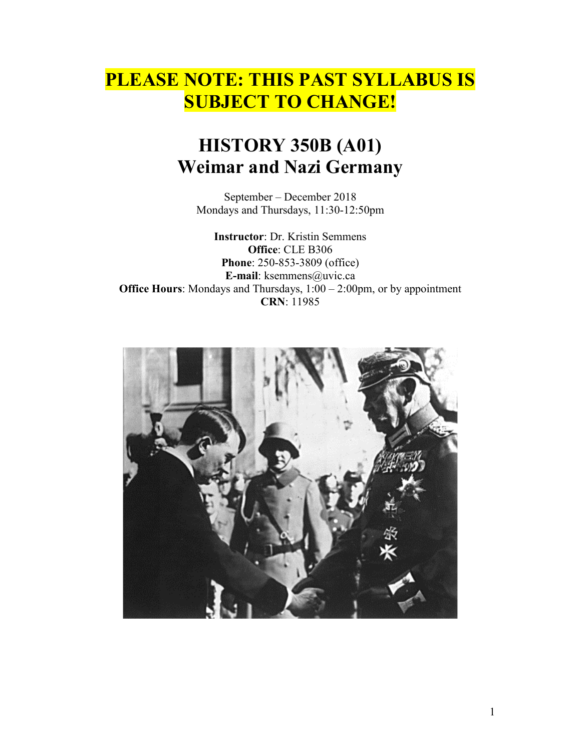# **PLEASE NOTE: THIS PAST SYLLABUS IS SUBJECT TO CHANGE!**

# **HISTORY 350B (A01) Weimar and Nazi Germany**

September – December 2018 Mondays and Thursdays, 11:30-12:50pm

**Instructor**: Dr. Kristin Semmens **Office**: CLE B306 **Phone**: 250-853-3809 (office) **E-mail**: ksemmens@uvic.ca **Office Hours:** Mondays and Thursdays,  $1:00 - 2:00$  pm, or by appointment **CRN**: 11985

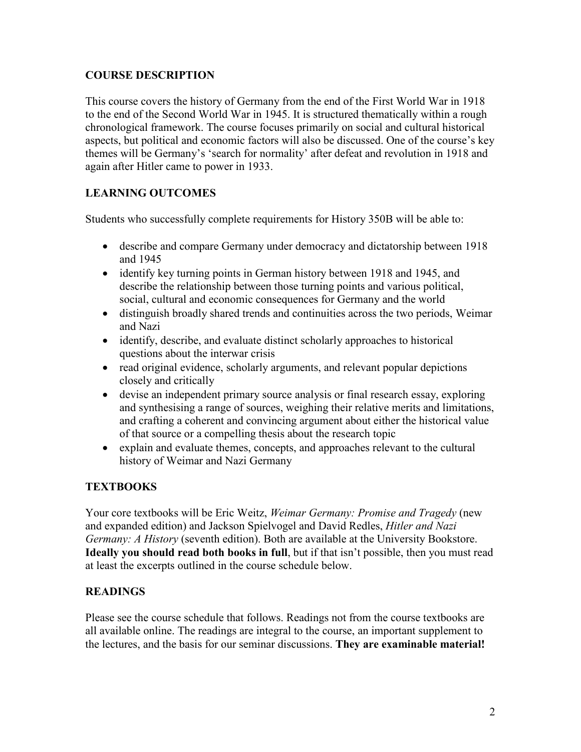## **COURSE DESCRIPTION**

This course covers the history of Germany from the end of the First World War in 1918 to the end of the Second World War in 1945. It is structured thematically within a rough chronological framework. The course focuses primarily on social and cultural historical aspects, but political and economic factors will also be discussed. One of the course's key themes will be Germany's 'search for normality' after defeat and revolution in 1918 and again after Hitler came to power in 1933.

# **LEARNING OUTCOMES**

Students who successfully complete requirements for History 350B will be able to:

- describe and compare Germany under democracy and dictatorship between 1918 and 1945
- identify key turning points in German history between 1918 and 1945, and describe the relationship between those turning points and various political, social, cultural and economic consequences for Germany and the world
- distinguish broadly shared trends and continuities across the two periods, Weimar and Nazi
- identify, describe, and evaluate distinct scholarly approaches to historical questions about the interwar crisis
- read original evidence, scholarly arguments, and relevant popular depictions closely and critically
- devise an independent primary source analysis or final research essay, exploring and synthesising a range of sources, weighing their relative merits and limitations, and crafting a coherent and convincing argument about either the historical value of that source or a compelling thesis about the research topic
- explain and evaluate themes, concepts, and approaches relevant to the cultural history of Weimar and Nazi Germany

# **TEXTBOOKS**

Your core textbooks will be Eric Weitz, *Weimar Germany: Promise and Tragedy* (new and expanded edition) and Jackson Spielvogel and David Redles, *Hitler and Nazi Germany: A History* (seventh edition). Both are available at the University Bookstore. **Ideally you should read both books in full**, but if that isn't possible, then you must read at least the excerpts outlined in the course schedule below.

#### **READINGS**

Please see the course schedule that follows. Readings not from the course textbooks are all available online. The readings are integral to the course, an important supplement to the lectures, and the basis for our seminar discussions. **They are examinable material!**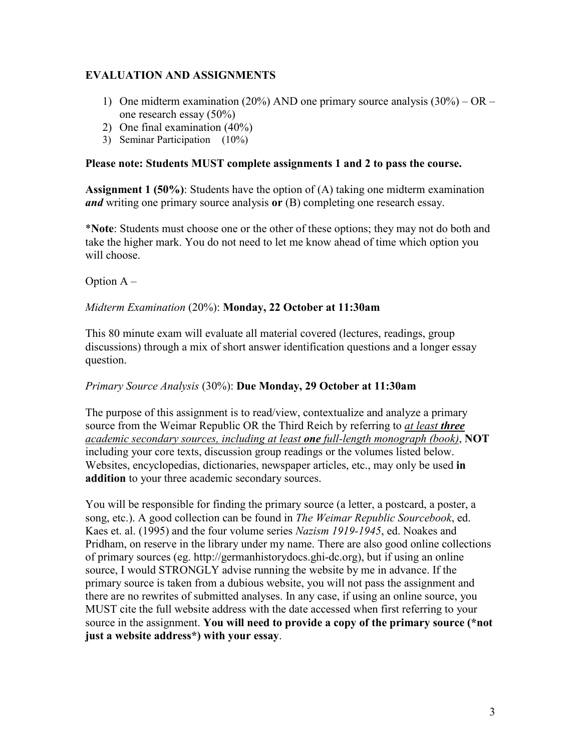## **EVALUATION AND ASSIGNMENTS**

- 1) One midterm examination (20%) AND one primary source analysis  $(30%) OR$ one research essay (50%)
- 2) One final examination (40%)
- 3) Seminar Participation (10%)

#### **Please note: Students MUST complete assignments 1 and 2 to pass the course.**

**Assignment 1 (50%)**: Students have the option of (A) taking one midterm examination *and* writing one primary source analysis **or** (B) completing one research essay.

\***Note**: Students must choose one or the other of these options; they may not do both and take the higher mark. You do not need to let me know ahead of time which option you will choose.

#### Option A –

#### *Midterm Examination* (20%): **Monday, 22 October at 11:30am**

This 80 minute exam will evaluate all material covered (lectures, readings, group discussions) through a mix of short answer identification questions and a longer essay question.

#### *Primary Source Analysis* (30%): **Due Monday, 29 October at 11:30am**

The purpose of this assignment is to read/view, contextualize and analyze a primary source from the Weimar Republic OR the Third Reich by referring to *at least three academic secondary sources, including at least one full-length monograph (book)*, **NOT**  including your core texts, discussion group readings or the volumes listed below. Websites, encyclopedias, dictionaries, newspaper articles, etc., may only be used **in addition** to your three academic secondary sources.

You will be responsible for finding the primary source (a letter, a postcard, a poster, a song, etc.). A good collection can be found in *The Weimar Republic Sourcebook*, ed. Kaes et. al. (1995) and the four volume series *Nazism 1919-1945*, ed. Noakes and Pridham, on reserve in the library under my name. There are also good online collections of primary sources (eg. http://germanhistorydocs.ghi-dc.org), but if using an online source, I would STRONGLY advise running the website by me in advance. If the primary source is taken from a dubious website, you will not pass the assignment and there are no rewrites of submitted analyses. In any case, if using an online source, you MUST cite the full website address with the date accessed when first referring to your source in the assignment. **You will need to provide a copy of the primary source (\*not just a website address\*) with your essay**.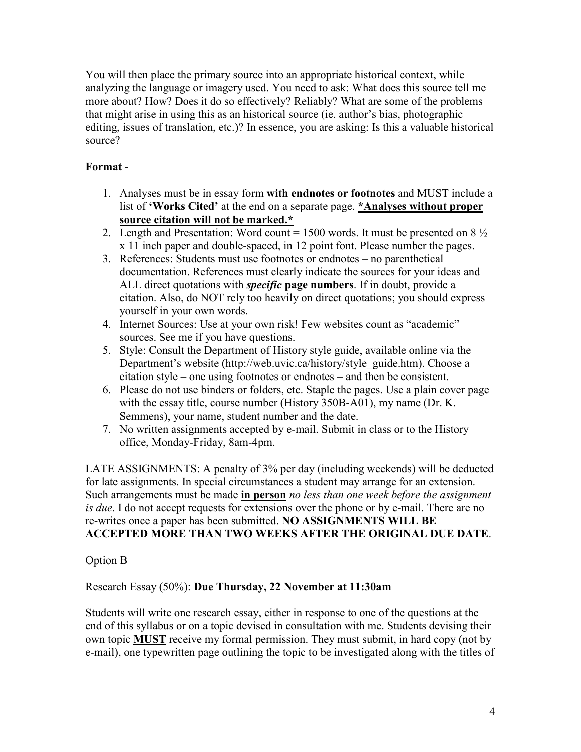You will then place the primary source into an appropriate historical context, while analyzing the language or imagery used. You need to ask: What does this source tell me more about? How? Does it do so effectively? Reliably? What are some of the problems that might arise in using this as an historical source (ie. author's bias, photographic editing, issues of translation, etc.)? In essence, you are asking: Is this a valuable historical source?

# **Format** -

- 1. Analyses must be in essay form **with endnotes or footnotes** and MUST include a list of **'Works Cited'** at the end on a separate page. **\*Analyses without proper source citation will not be marked.\***
- 2. Length and Presentation: Word count = 1500 words. It must be presented on  $8\frac{1}{2}$ x 11 inch paper and double-spaced, in 12 point font. Please number the pages.
- 3. References: Students must use footnotes or endnotes no parenthetical documentation. References must clearly indicate the sources for your ideas and ALL direct quotations with *specific* **page numbers**. If in doubt, provide a citation. Also, do NOT rely too heavily on direct quotations; you should express yourself in your own words.
- 4. Internet Sources: Use at your own risk! Few websites count as "academic" sources. See me if you have questions.
- 5. Style: Consult the Department of History style guide, available online via the Department's website (http://web.uvic.ca/history/style\_guide.htm). Choose a citation style – one using footnotes or endnotes – and then be consistent.
- 6. Please do not use binders or folders, etc. Staple the pages. Use a plain cover page with the essay title, course number (History 350B-A01), my name (Dr. K. Semmens), your name, student number and the date.
- 7. No written assignments accepted by e-mail. Submit in class or to the History office, Monday-Friday, 8am-4pm.

LATE ASSIGNMENTS: A penalty of 3% per day (including weekends) will be deducted for late assignments. In special circumstances a student may arrange for an extension. Such arrangements must be made **in person** *no less than one week before the assignment is due*. I do not accept requests for extensions over the phone or by e-mail. There are no re-writes once a paper has been submitted. **NO ASSIGNMENTS WILL BE ACCEPTED MORE THAN TWO WEEKS AFTER THE ORIGINAL DUE DATE**.

Option  $B -$ 

#### Research Essay (50%): **Due Thursday, 22 November at 11:30am**

Students will write one research essay, either in response to one of the questions at the end of this syllabus or on a topic devised in consultation with me. Students devising their own topic **MUST** receive my formal permission. They must submit, in hard copy (not by e-mail), one typewritten page outlining the topic to be investigated along with the titles of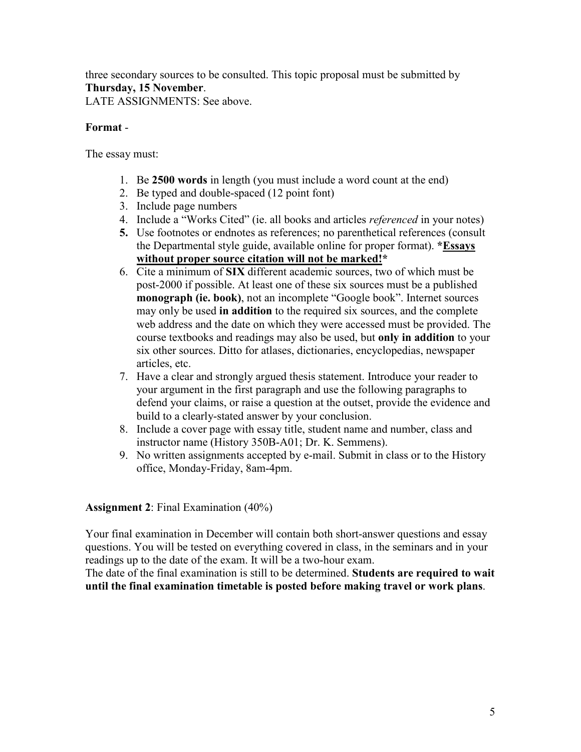three secondary sources to be consulted. This topic proposal must be submitted by **Thursday, 15 November**.

LATE ASSIGNMENTS: See above.

## **Format** -

The essay must:

- 1. Be **2500 words** in length (you must include a word count at the end)
- 2. Be typed and double-spaced (12 point font)
- 3. Include page numbers
- 4. Include a "Works Cited" (ie. all books and articles *referenced* in your notes)
- **5.** Use footnotes or endnotes as references; no parenthetical references (consult the Departmental style guide, available online for proper format). **\*Essays without proper source citation will not be marked!\***
- 6. Cite a minimum of **SIX** different academic sources, two of which must be post-2000 if possible. At least one of these six sources must be a published **monograph (ie. book)**, not an incomplete "Google book". Internet sources may only be used **in addition** to the required six sources, and the complete web address and the date on which they were accessed must be provided. The course textbooks and readings may also be used, but **only in addition** to your six other sources. Ditto for atlases, dictionaries, encyclopedias, newspaper articles, etc.
- 7. Have a clear and strongly argued thesis statement. Introduce your reader to your argument in the first paragraph and use the following paragraphs to defend your claims, or raise a question at the outset, provide the evidence and build to a clearly-stated answer by your conclusion.
- 8. Include a cover page with essay title, student name and number, class and instructor name (History 350B-A01; Dr. K. Semmens).
- 9. No written assignments accepted by e-mail. Submit in class or to the History office, Monday-Friday, 8am-4pm.

**Assignment 2**: Final Examination (40%)

Your final examination in December will contain both short-answer questions and essay questions. You will be tested on everything covered in class, in the seminars and in your readings up to the date of the exam. It will be a two-hour exam.

The date of the final examination is still to be determined. **Students are required to wait until the final examination timetable is posted before making travel or work plans**.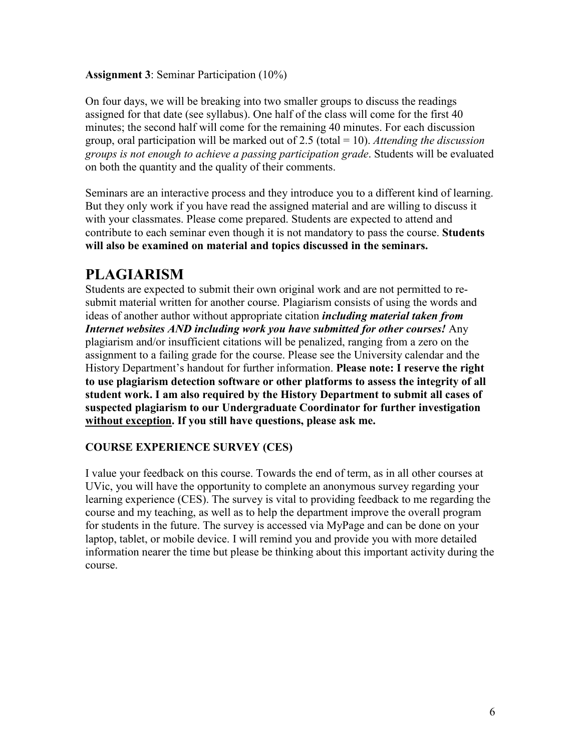#### **Assignment 3**: Seminar Participation (10%)

On four days, we will be breaking into two smaller groups to discuss the readings assigned for that date (see syllabus). One half of the class will come for the first 40 minutes; the second half will come for the remaining 40 minutes. For each discussion group, oral participation will be marked out of 2.5 (total = 10). *Attending the discussion groups is not enough to achieve a passing participation grade*. Students will be evaluated on both the quantity and the quality of their comments.

Seminars are an interactive process and they introduce you to a different kind of learning. But they only work if you have read the assigned material and are willing to discuss it with your classmates. Please come prepared. Students are expected to attend and contribute to each seminar even though it is not mandatory to pass the course. **Students will also be examined on material and topics discussed in the seminars.**

# **PLAGIARISM**

Students are expected to submit their own original work and are not permitted to resubmit material written for another course. Plagiarism consists of using the words and ideas of another author without appropriate citation *including material taken from Internet websites AND including work you have submitted for other courses!* Any plagiarism and/or insufficient citations will be penalized, ranging from a zero on the assignment to a failing grade for the course. Please see the University calendar and the History Department's handout for further information. **Please note: I reserve the right to use plagiarism detection software or other platforms to assess the integrity of all student work. I am also required by the History Department to submit all cases of suspected plagiarism to our Undergraduate Coordinator for further investigation without exception. If you still have questions, please ask me.**

#### **COURSE EXPERIENCE SURVEY (CES)**

I value your feedback on this course. Towards the end of term, as in all other courses at UVic, you will have the opportunity to complete an anonymous survey regarding your learning experience (CES). The survey is vital to providing feedback to me regarding the course and my teaching, as well as to help the department improve the overall program for students in the future. The survey is accessed via MyPage and can be done on your laptop, tablet, or mobile device. I will remind you and provide you with more detailed information nearer the time but please be thinking about this important activity during the course.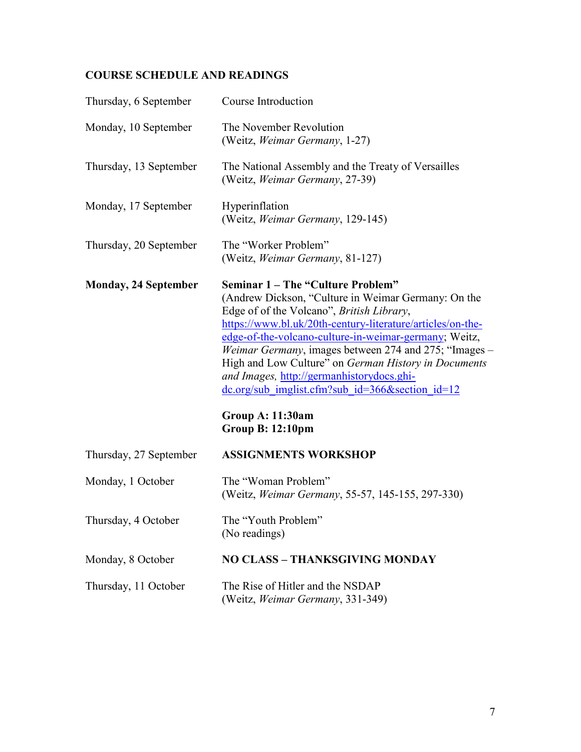# **COURSE SCHEDULE AND READINGS**

| Thursday, 6 September       | Course Introduction                                                                                                                                                                                                                                                                                                                                                                                                                                                                                                                                                                     |
|-----------------------------|-----------------------------------------------------------------------------------------------------------------------------------------------------------------------------------------------------------------------------------------------------------------------------------------------------------------------------------------------------------------------------------------------------------------------------------------------------------------------------------------------------------------------------------------------------------------------------------------|
| Monday, 10 September        | The November Revolution<br>(Weitz, Weimar Germany, 1-27)                                                                                                                                                                                                                                                                                                                                                                                                                                                                                                                                |
| Thursday, 13 September      | The National Assembly and the Treaty of Versailles<br>(Weitz, Weimar Germany, 27-39)                                                                                                                                                                                                                                                                                                                                                                                                                                                                                                    |
| Monday, 17 September        | Hyperinflation<br>(Weitz, Weimar Germany, 129-145)                                                                                                                                                                                                                                                                                                                                                                                                                                                                                                                                      |
| Thursday, 20 September      | The "Worker Problem"<br>(Weitz, Weimar Germany, 81-127)                                                                                                                                                                                                                                                                                                                                                                                                                                                                                                                                 |
| <b>Monday, 24 September</b> | <b>Seminar 1 – The "Culture Problem"</b><br>(Andrew Dickson, "Culture in Weimar Germany: On the<br>Edge of of the Volcano", British Library,<br>https://www.bl.uk/20th-century-literature/articles/on-the-<br>edge-of-the-volcano-culture-in-weimar-germany; Weitz,<br><i>Weimar Germany</i> , images between 274 and 275; "Images –<br>High and Low Culture" on German History in Documents<br>and Images, http://germanhistorydocs.ghi-<br>$\frac{dc.org/sub\text{imglist.cfm?sub}\text{ id}=366\&\text{section}\text{ id}=12}$<br><b>Group A: 11:30am</b><br><b>Group B: 12:10pm</b> |
| Thursday, 27 September      | <b>ASSIGNMENTS WORKSHOP</b>                                                                                                                                                                                                                                                                                                                                                                                                                                                                                                                                                             |
| Monday, 1 October           | The "Woman Problem"<br>(Weitz, Weimar Germany, 55-57, 145-155, 297-330)                                                                                                                                                                                                                                                                                                                                                                                                                                                                                                                 |
| Thursday, 4 October         | The "Youth Problem"<br>(No readings)                                                                                                                                                                                                                                                                                                                                                                                                                                                                                                                                                    |
| Monday, 8 October           | <b>NO CLASS - THANKSGIVING MONDAY</b>                                                                                                                                                                                                                                                                                                                                                                                                                                                                                                                                                   |
| Thursday, 11 October        | The Rise of Hitler and the NSDAP<br>(Weitz, Weimar Germany, 331-349)                                                                                                                                                                                                                                                                                                                                                                                                                                                                                                                    |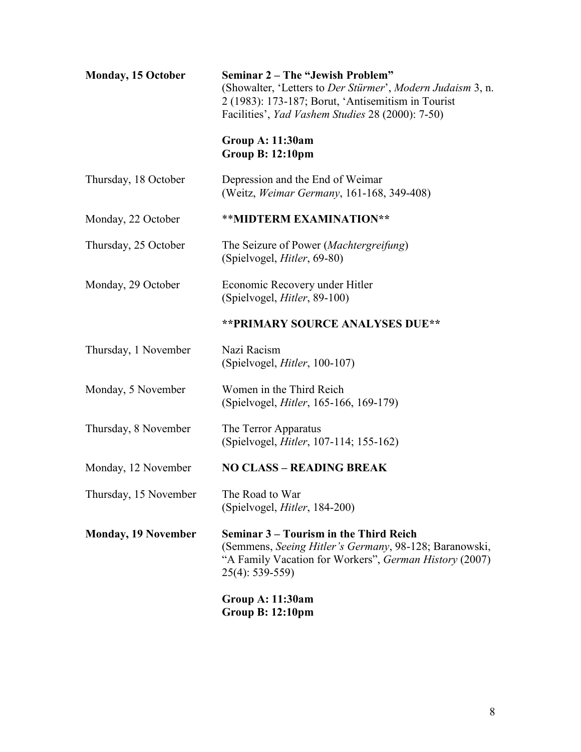| <b>Monday, 15 October</b>  | <b>Seminar 2 – The "Jewish Problem"</b><br>(Showalter, 'Letters to Der Stürmer', Modern Judaism 3, n.<br>2 (1983): 173-187; Borut, 'Antisemitism in Tourist<br>Facilities', Yad Vashem Studies 28 (2000): 7-50) |
|----------------------------|-----------------------------------------------------------------------------------------------------------------------------------------------------------------------------------------------------------------|
|                            | <b>Group A: 11:30am</b><br><b>Group B: 12:10pm</b>                                                                                                                                                              |
| Thursday, 18 October       | Depression and the End of Weimar<br>(Weitz, Weimar Germany, 161-168, 349-408)                                                                                                                                   |
| Monday, 22 October         | ** MIDTERM EXAMINATION**                                                                                                                                                                                        |
| Thursday, 25 October       | The Seizure of Power (Machtergreifung)<br>(Spielvogel, <i>Hitler</i> , 69-80)                                                                                                                                   |
| Monday, 29 October         | Economic Recovery under Hitler<br>(Spielvogel, <i>Hitler</i> , 89-100)                                                                                                                                          |
|                            | ** PRIMARY SOURCE ANALYSES DUE**                                                                                                                                                                                |
| Thursday, 1 November       | Nazi Racism<br>(Spielvogel, <i>Hitler</i> , 100-107)                                                                                                                                                            |
| Monday, 5 November         | Women in the Third Reich<br>(Spielvogel, <i>Hitler</i> , 165-166, 169-179)                                                                                                                                      |
| Thursday, 8 November       | The Terror Apparatus<br>(Spielvogel, <i>Hitler</i> , 107-114; 155-162)                                                                                                                                          |
| Monday, 12 November        | <b>NO CLASS - READING BREAK</b>                                                                                                                                                                                 |
| Thursday, 15 November      | The Road to War<br>(Spielvogel, <i>Hitler</i> , 184-200)                                                                                                                                                        |
| <b>Monday, 19 November</b> | Seminar 3 – Tourism in the Third Reich<br>(Semmens, Seeing Hitler's Germany, 98-128; Baranowski,<br>"A Family Vacation for Workers", German History (2007)<br>$25(4)$ : 539-559)                                |
|                            | <b>Group A: 11:30am</b><br><b>Group B: 12:10pm</b>                                                                                                                                                              |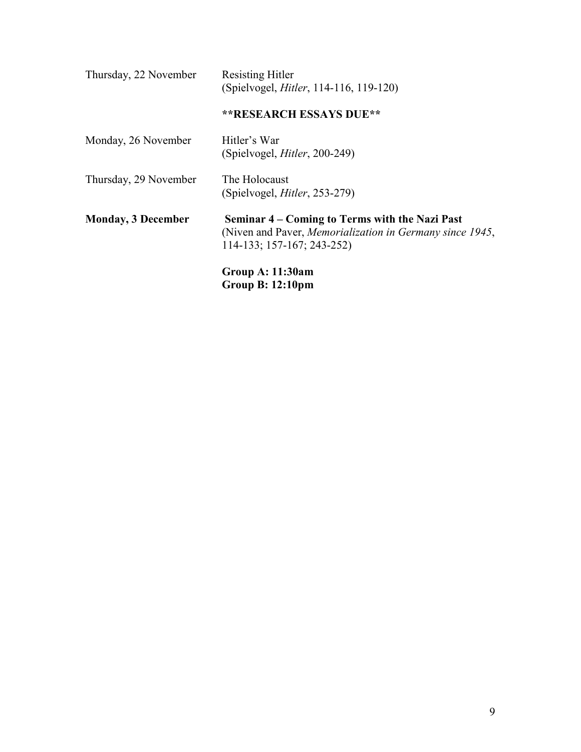| Thursday, 22 November     | <b>Resisting Hitler</b><br>(Spielvogel, <i>Hitler</i> , 114-116, 119-120)                                                                        |
|---------------------------|--------------------------------------------------------------------------------------------------------------------------------------------------|
|                           | <b>**RESEARCH ESSAYS DUE**</b>                                                                                                                   |
| Monday, 26 November       | Hitler's War<br>(Spielvogel, <i>Hitler</i> , 200-249)                                                                                            |
| Thursday, 29 November     | The Holocaust<br>(Spielvogel, <i>Hitler</i> , 253-279)                                                                                           |
| <b>Monday, 3 December</b> | Seminar 4 – Coming to Terms with the Nazi Past<br>(Niven and Paver, <i>Memorialization in Germany since 1945</i> ,<br>114-133; 157-167; 243-252) |
|                           | <b>Group A: 11:30am</b><br><b>Group B: 12:10pm</b>                                                                                               |